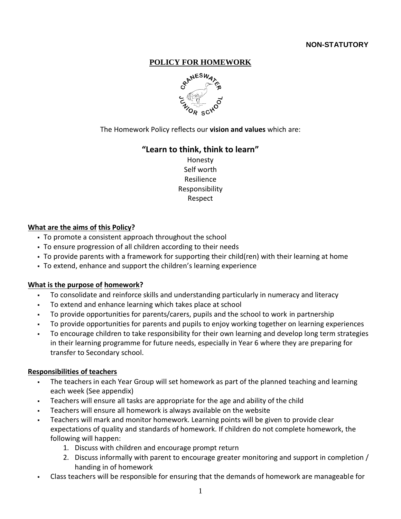# **NON-STATUTORY**

# **POLICY FOR HOMEWORK**



The Homework Policy reflects our **vision and values** which are:

### **"Learn to think, think to learn"**

Honesty Self worth Resilience Responsibility Respect

#### **What are the aims of this Policy?**

- To promote a consistent approach throughout the school
- To ensure progression of all children according to their needs
- To provide parents with a framework for supporting their child(ren) with their learning at home
- To extend, enhance and support the children's learning experience

### **What is the purpose of homework?**

- To consolidate and reinforce skills and understanding particularly in numeracy and literacy
- To extend and enhance learning which takes place at school
- To provide opportunities for parents/carers, pupils and the school to work in partnership
- To provide opportunities for parents and pupils to enjoy working together on learning experiences
- To encourage children to take responsibility for their own learning and develop long term strategies in their learning programme for future needs, especially in Year 6 where they are preparing for transfer to Secondary school.

### **Responsibilities of teachers**

- The teachers in each Year Group will set homework as part of the planned teaching and learning each week (See appendix)
- Teachers will ensure all tasks are appropriate for the age and ability of the child
- Teachers will ensure all homework is always available on the website
- Teachers will mark and monitor homework. Learning points will be given to provide clear expectations of quality and standards of homework. If children do not complete homework, the following will happen:
	- 1. Discuss with children and encourage prompt return
	- 2. Discuss informally with parent to encourage greater monitoring and support in completion / handing in of homework
- Class teachers will be responsible for ensuring that the demands of homework are manageable for